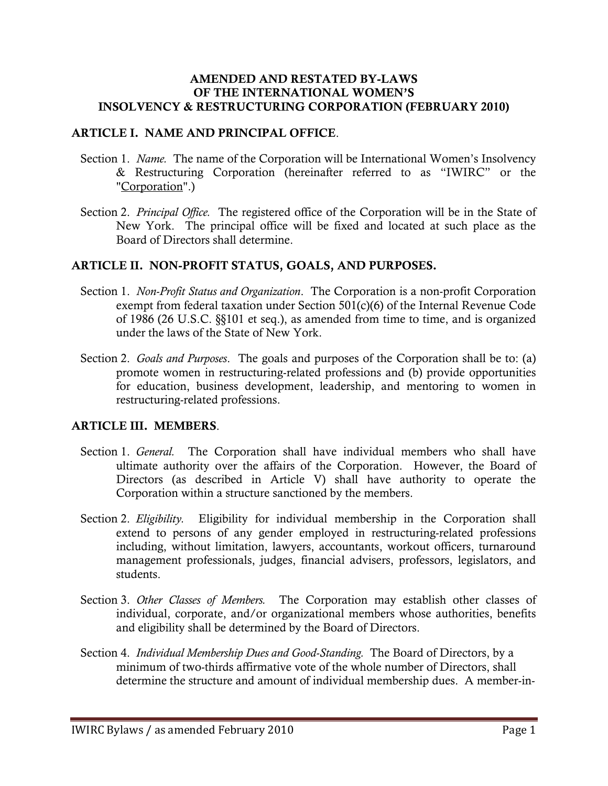### AMENDED AND RESTATED BY-LAWS OF THE INTERNATIONAL WOMEN'S INSOLVENCY & RESTRUCTURING CORPORATION (FEBRUARY 2010)

#### ARTICLE I. NAME AND PRINCIPAL OFFICE.

- Section 1. *Name.* The name of the Corporation will be International Women's Insolvency & Restructuring Corporation (hereinafter referred to as "IWIRC" or the "Corporation".)
- Section 2. *Principal Office.* The registered office of the Corporation will be in the State of New York. The principal office will be fixed and located at such place as the Board of Directors shall determine.

### ARTICLE II. NON-PROFIT STATUS, GOALS, AND PURPOSES.

- Section 1. *Non-Profit Status and Organization*. The Corporation is a non-profit Corporation exempt from federal taxation under Section 501(c)(6) of the Internal Revenue Code of 1986 (26 U.S.C. §§101 et seq.), as amended from time to time, and is organized under the laws of the State of New York.
- Section 2. *Goals and Purposes*. The goals and purposes of the Corporation shall be to: (a) promote women in restructuring-related professions and (b) provide opportunities for education, business development, leadership, and mentoring to women in restructuring-related professions.

# ARTICLE III. MEMBERS.

- Section 1. *General.* The Corporation shall have individual members who shall have ultimate authority over the affairs of the Corporation. However, the Board of Directors (as described in Article V) shall have authority to operate the Corporation within a structure sanctioned by the members.
- Section 2. *Eligibility.* Eligibility for individual membership in the Corporation shall extend to persons of any gender employed in restructuring-related professions including, without limitation, lawyers, accountants, workout officers, turnaround management professionals, judges, financial advisers, professors, legislators, and students.
- Section 3. *Other Classes of Members.* The Corporation may establish other classes of individual, corporate, and/or organizational members whose authorities, benefits and eligibility shall be determined by the Board of Directors.
- Section 4. *Individual Membership Dues and Good-Standing.* The Board of Directors, by a minimum of two-thirds affirmative vote of the whole number of Directors, shall determine the structure and amount of individual membership dues. A member-in-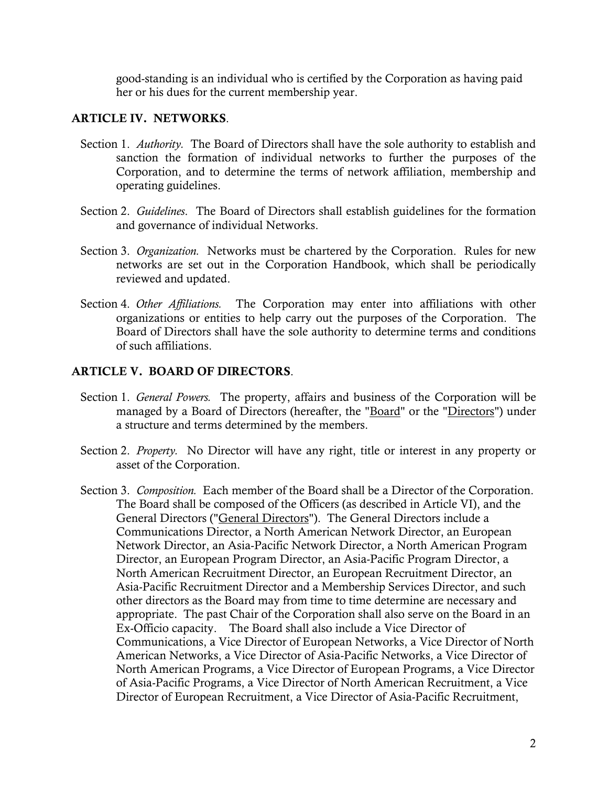good-standing is an individual who is certified by the Corporation as having paid her or his dues for the current membership year.

### ARTICLE IV. NETWORKS.

- Section 1. *Authority.* The Board of Directors shall have the sole authority to establish and sanction the formation of individual networks to further the purposes of the Corporation, and to determine the terms of network affiliation, membership and operating guidelines.
- Section 2. *Guidelines*. The Board of Directors shall establish guidelines for the formation and governance of individual Networks.
- Section 3. *Organization.* Networks must be chartered by the Corporation. Rules for new networks are set out in the Corporation Handbook, which shall be periodically reviewed and updated.
- Section 4. *Other Affiliations.* The Corporation may enter into affiliations with other organizations or entities to help carry out the purposes of the Corporation. The Board of Directors shall have the sole authority to determine terms and conditions of such affiliations.

# ARTICLE V. BOARD OF DIRECTORS.

- Section 1. *General Powers.* The property, affairs and business of the Corporation will be managed by a Board of Directors (hereafter, the "Board" or the "Directors") under a structure and terms determined by the members.
- Section 2. *Property.* No Director will have any right, title or interest in any property or asset of the Corporation.
- Section 3. *Composition.* Each member of the Board shall be a Director of the Corporation. The Board shall be composed of the Officers (as described in Article VI), and the General Directors ("General Directors"). The General Directors include a Communications Director, a North American Network Director, an European Network Director, an Asia-Pacific Network Director, a North American Program Director, an European Program Director, an Asia-Pacific Program Director, a North American Recruitment Director, an European Recruitment Director, an Asia-Pacific Recruitment Director and a Membership Services Director, and such other directors as the Board may from time to time determine are necessary and appropriate. The past Chair of the Corporation shall also serve on the Board in an Ex-Officio capacity. The Board shall also include a Vice Director of Communications, a Vice Director of European Networks, a Vice Director of North American Networks, a Vice Director of Asia-Pacific Networks, a Vice Director of North American Programs, a Vice Director of European Programs, a Vice Director of Asia-Pacific Programs, a Vice Director of North American Recruitment, a Vice Director of European Recruitment, a Vice Director of Asia-Pacific Recruitment,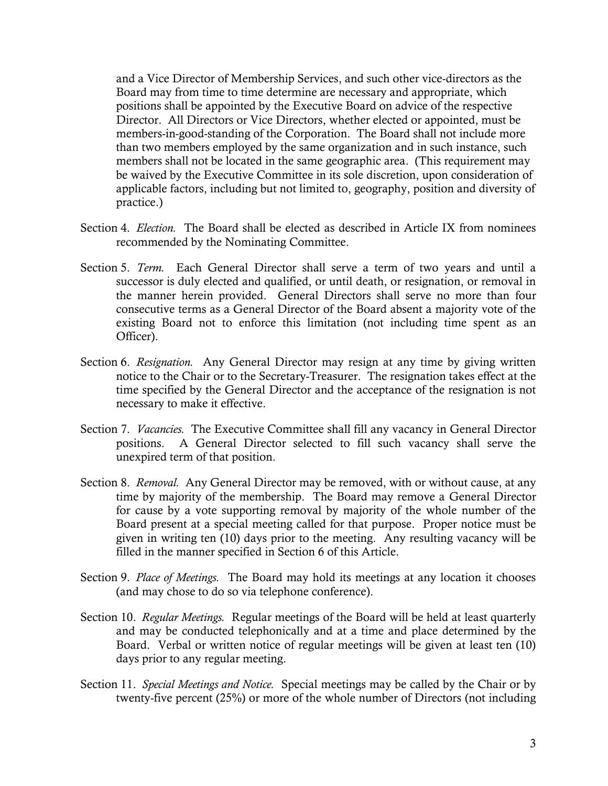and a Vice Director of Membership Services, and such other vice-directors as the Board may from time to time determine are necessary and appropriate, which positions shall be appointed by the Executive Board on advice of the respective Director. All Directors or Vice Directors, whether elected or appointed, must be members-in-good-standing of the Corporation. The Board shall not include more than two members employed by the same organization and in such instance, such members shall not be located in the same geographic area. (This requirement may be waived by the Executive Committee in its sole discretion, upon consideration of applicable factors, including but not limited to, geography, position and diversity of practice.)

- Section 4. *Election.* The Board shall be elected as described in Article IX from nominees recommended by the Nominating Committee.
- Section 5. *Term.* Each General Director shall serve a term of two years and until a successor is duly elected and qualified, or until death, or resignation, or removal in the manner herein provided. General Directors shall serve no more than four consecutive terms as a General Director of the Board absent a majority vote of the existing Board not to enforce this limitation (not including time spent as an Officer).
- Section 6. *Resignation.* Any General Director may resign at any time by giving written notice to the Chair or to the Secretary-Treasurer. The resignation takes effect at the time specified by the General Director and the acceptance of the resignation is not necessary to make it effective.
- Section 7. *Vacancies.* The Executive Committee shall fill any vacancy in General Director positions. A General Director selected to fill such vacancy shall serve the unexpired term of that position.
- Section 8. *Removal.* Any General Director may be removed, with or without cause, at any time by majority of the membership. The Board may remove a General Director for cause by a vote supporting removal by majority of the whole number of the Board present at a special meeting called for that purpose. Proper notice must be given in writing ten (10) days prior to the meeting. Any resulting vacancy will be filled in the manner specified in Section 6 of this Article.
- Section 9. *Place of Meetings.* The Board may hold its meetings at any location it chooses (and may chose to do so via telephone conference).
- Section 10. *Regular Meetings.* Regular meetings of the Board will be held at least quarterly and may be conducted telephonically and at a time and place determined by the Board. Verbal or written notice of regular meetings will be given at least ten (10) days prior to any regular meeting.
- Section 11. *Special Meetings and Notice.* Special meetings may be called by the Chair or by twenty-five percent (25%) or more of the whole number of Directors (not including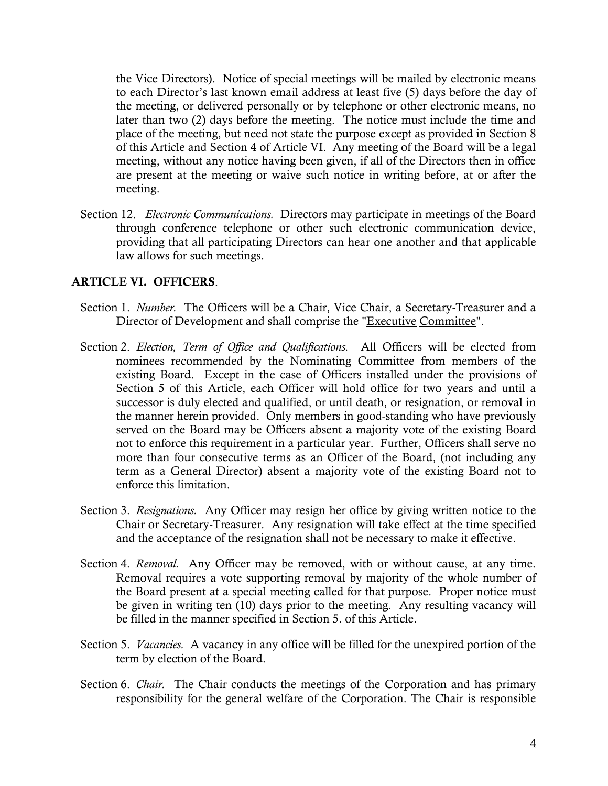the Vice Directors). Notice of special meetings will be mailed by electronic means to each Director's last known email address at least five (5) days before the day of the meeting, or delivered personally or by telephone or other electronic means, no later than two (2) days before the meeting. The notice must include the time and place of the meeting, but need not state the purpose except as provided in Section 8 of this Article and Section 4 of Article VI. Any meeting of the Board will be a legal meeting, without any notice having been given, if all of the Directors then in office are present at the meeting or waive such notice in writing before, at or after the meeting.

Section 12. *Electronic Communications.* Directors may participate in meetings of the Board through conference telephone or other such electronic communication device, providing that all participating Directors can hear one another and that applicable law allows for such meetings.

### ARTICLE VI. OFFICERS.

- Section 1. *Number.* The Officers will be a Chair, Vice Chair, a Secretary-Treasurer and a Director of Development and shall comprise the "Executive Committee".
- Section 2. *Election, Term of Office and Qualifications.* All Officers will be elected from nominees recommended by the Nominating Committee from members of the existing Board. Except in the case of Officers installed under the provisions of Section 5 of this Article, each Officer will hold office for two years and until a successor is duly elected and qualified, or until death, or resignation, or removal in the manner herein provided. Only members in good-standing who have previously served on the Board may be Officers absent a majority vote of the existing Board not to enforce this requirement in a particular year. Further, Officers shall serve no more than four consecutive terms as an Officer of the Board, (not including any term as a General Director) absent a majority vote of the existing Board not to enforce this limitation.
- Section 3. *Resignations.* Any Officer may resign her office by giving written notice to the Chair or Secretary-Treasurer. Any resignation will take effect at the time specified and the acceptance of the resignation shall not be necessary to make it effective.
- Section 4. *Removal.* Any Officer may be removed, with or without cause, at any time. Removal requires a vote supporting removal by majority of the whole number of the Board present at a special meeting called for that purpose. Proper notice must be given in writing ten (10) days prior to the meeting. Any resulting vacancy will be filled in the manner specified in Section 5. of this Article.
- Section 5. *Vacancies.* A vacancy in any office will be filled for the unexpired portion of the term by election of the Board.
- Section 6. *Chair.* The Chair conducts the meetings of the Corporation and has primary responsibility for the general welfare of the Corporation. The Chair is responsible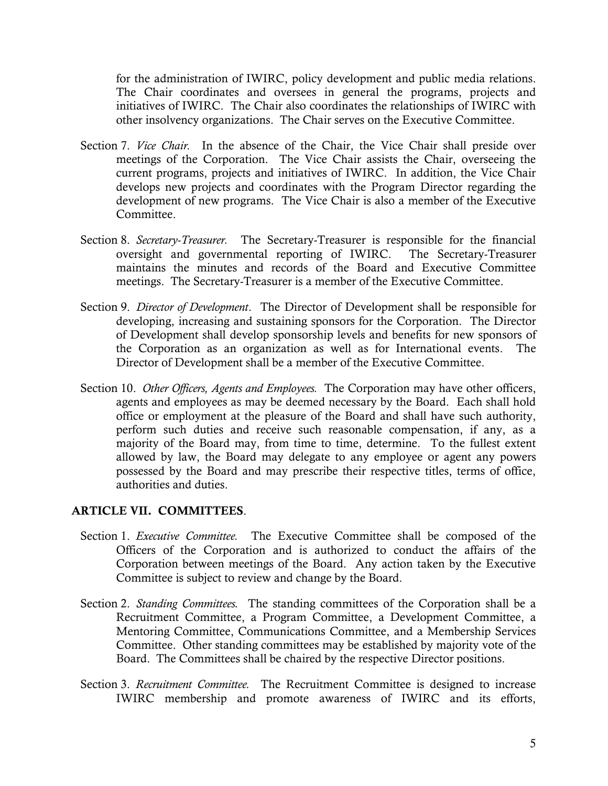for the administration of IWIRC, policy development and public media relations. The Chair coordinates and oversees in general the programs, projects and initiatives of IWIRC. The Chair also coordinates the relationships of IWIRC with other insolvency organizations. The Chair serves on the Executive Committee.

- Section 7. *Vice Chair.* In the absence of the Chair, the Vice Chair shall preside over meetings of the Corporation. The Vice Chair assists the Chair, overseeing the current programs, projects and initiatives of IWIRC. In addition, the Vice Chair develops new projects and coordinates with the Program Director regarding the development of new programs. The Vice Chair is also a member of the Executive Committee.
- Section 8. *Secretary-Treasurer.* The Secretary-Treasurer is responsible for the financial oversight and governmental reporting of IWIRC. The Secretary-Treasurer maintains the minutes and records of the Board and Executive Committee meetings. The Secretary-Treasurer is a member of the Executive Committee.
- Section 9. *Director of Development*. The Director of Development shall be responsible for developing, increasing and sustaining sponsors for the Corporation. The Director of Development shall develop sponsorship levels and benefits for new sponsors of the Corporation as an organization as well as for International events. The Director of Development shall be a member of the Executive Committee.
- Section 10. *Other Officers, Agents and Employees.* The Corporation may have other officers, agents and employees as may be deemed necessary by the Board. Each shall hold office or employment at the pleasure of the Board and shall have such authority, perform such duties and receive such reasonable compensation, if any, as a majority of the Board may, from time to time, determine. To the fullest extent allowed by law, the Board may delegate to any employee or agent any powers possessed by the Board and may prescribe their respective titles, terms of office, authorities and duties.

# ARTICLE VII. COMMITTEES.

- Section 1. *Executive Committee.* The Executive Committee shall be composed of the Officers of the Corporation and is authorized to conduct the affairs of the Corporation between meetings of the Board. Any action taken by the Executive Committee is subject to review and change by the Board.
- Section 2. *Standing Committees.* The standing committees of the Corporation shall be a Recruitment Committee, a Program Committee, a Development Committee, a Mentoring Committee, Communications Committee, and a Membership Services Committee. Other standing committees may be established by majority vote of the Board. The Committees shall be chaired by the respective Director positions.
- Section 3. *Recruitment Committee.* The Recruitment Committee is designed to increase IWIRC membership and promote awareness of IWIRC and its efforts,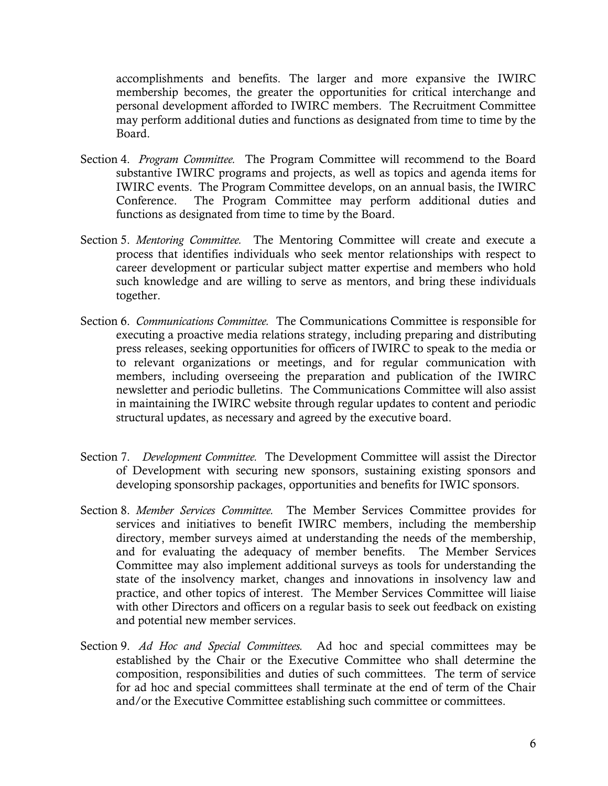accomplishments and benefits. The larger and more expansive the IWIRC membership becomes, the greater the opportunities for critical interchange and personal development afforded to IWIRC members. The Recruitment Committee may perform additional duties and functions as designated from time to time by the Board.

- Section 4. *Program Committee.* The Program Committee will recommend to the Board substantive IWIRC programs and projects, as well as topics and agenda items for IWIRC events. The Program Committee develops, on an annual basis, the IWIRC Conference. The Program Committee may perform additional duties and functions as designated from time to time by the Board.
- Section 5. *Mentoring Committee.* The Mentoring Committee will create and execute a process that identifies individuals who seek mentor relationships with respect to career development or particular subject matter expertise and members who hold such knowledge and are willing to serve as mentors, and bring these individuals together.
- Section 6. *Communications Committee.* The Communications Committee is responsible for executing a proactive media relations strategy, including preparing and distributing press releases, seeking opportunities for officers of IWIRC to speak to the media or to relevant organizations or meetings, and for regular communication with members, including overseeing the preparation and publication of the IWIRC newsletter and periodic bulletins. The Communications Committee will also assist in maintaining the IWIRC website through regular updates to content and periodic structural updates, as necessary and agreed by the executive board.
- Section 7. *Development Committee.* The Development Committee will assist the Director of Development with securing new sponsors, sustaining existing sponsors and developing sponsorship packages, opportunities and benefits for IWIC sponsors.
- Section 8. *Member Services Committee.* The Member Services Committee provides for services and initiatives to benefit IWIRC members, including the membership directory, member surveys aimed at understanding the needs of the membership, and for evaluating the adequacy of member benefits. The Member Services Committee may also implement additional surveys as tools for understanding the state of the insolvency market, changes and innovations in insolvency law and practice, and other topics of interest. The Member Services Committee will liaise with other Directors and officers on a regular basis to seek out feedback on existing and potential new member services.
- Section 9. *Ad Hoc and Special Committees.* Ad hoc and special committees may be established by the Chair or the Executive Committee who shall determine the composition, responsibilities and duties of such committees. The term of service for ad hoc and special committees shall terminate at the end of term of the Chair and/or the Executive Committee establishing such committee or committees.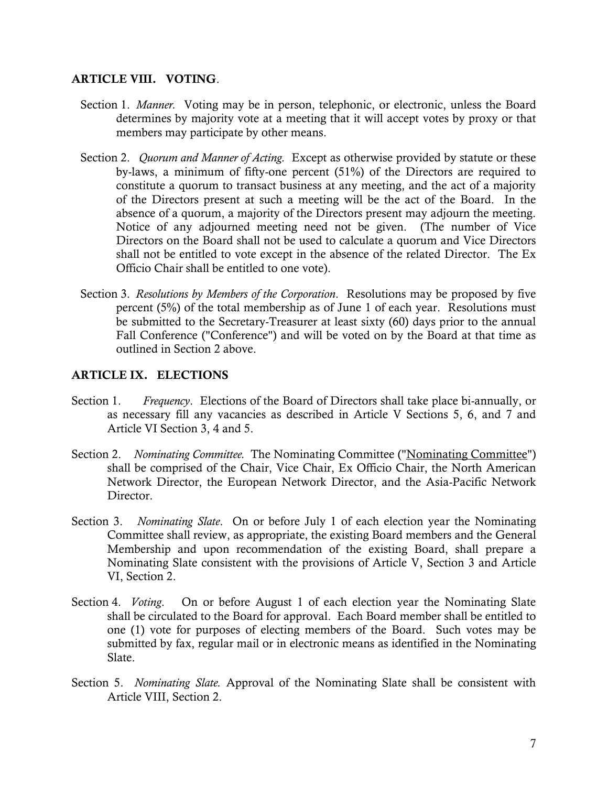### ARTICLE VIII. VOTING.

- Section 1. *Manner.* Voting may be in person, telephonic, or electronic, unless the Board determines by majority vote at a meeting that it will accept votes by proxy or that members may participate by other means.
- Section 2. *Quorum and Manner of Acting.* Except as otherwise provided by statute or these by-laws, a minimum of fifty-one percent (51%) of the Directors are required to constitute a quorum to transact business at any meeting, and the act of a majority of the Directors present at such a meeting will be the act of the Board. In the absence of a quorum, a majority of the Directors present may adjourn the meeting. Notice of any adjourned meeting need not be given. (The number of Vice Directors on the Board shall not be used to calculate a quorum and Vice Directors shall not be entitled to vote except in the absence of the related Director. The Ex Officio Chair shall be entitled to one vote).
- Section 3. *Resolutions by Members of the Corporation*. Resolutions may be proposed by five percent (5%) of the total membership as of June 1 of each year. Resolutions must be submitted to the Secretary-Treasurer at least sixty (60) days prior to the annual Fall Conference ("Conference") and will be voted on by the Board at that time as outlined in Section 2 above.

### ARTICLE IX. ELECTIONS

- Section 1. *Frequency*. Elections of the Board of Directors shall take place bi-annually, or as necessary fill any vacancies as described in Article V Sections 5, 6, and 7 and Article VI Section 3, 4 and 5.
- Section 2. *Nominating Committee.* The Nominating Committee ("Nominating Committee") shall be comprised of the Chair, Vice Chair, Ex Officio Chair, the North American Network Director, the European Network Director, and the Asia-Pacific Network Director.
- Section 3. *Nominating Slate*. On or before July 1 of each election year the Nominating Committee shall review, as appropriate, the existing Board members and the General Membership and upon recommendation of the existing Board, shall prepare a Nominating Slate consistent with the provisions of Article V, Section 3 and Article VI, Section 2.
- Section 4. *Voting*. On or before August 1 of each election year the Nominating Slate shall be circulated to the Board for approval. Each Board member shall be entitled to one (1) vote for purposes of electing members of the Board. Such votes may be submitted by fax, regular mail or in electronic means as identified in the Nominating Slate.
- Section 5. *Nominating Slate.* Approval of the Nominating Slate shall be consistent with Article VIII, Section 2.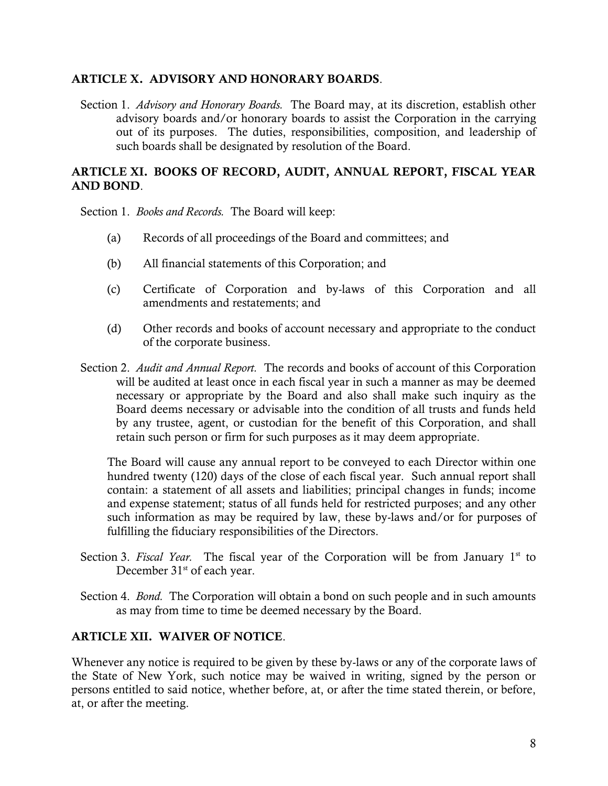### ARTICLE X. ADVISORY AND HONORARY BOARDS.

Section 1. *Advisory and Honorary Boards.* The Board may, at its discretion, establish other advisory boards and/or honorary boards to assist the Corporation in the carrying out of its purposes. The duties, responsibilities, composition, and leadership of such boards shall be designated by resolution of the Board.

## ARTICLE XI. BOOKS OF RECORD, AUDIT, ANNUAL REPORT, FISCAL YEAR AND BOND.

Section 1. *Books and Records.* The Board will keep:

- (a) Records of all proceedings of the Board and committees; and
- (b) All financial statements of this Corporation; and
- (c) Certificate of Corporation and by-laws of this Corporation and all amendments and restatements; and
- (d) Other records and books of account necessary and appropriate to the conduct of the corporate business.
- Section 2. *Audit and Annual Report.* The records and books of account of this Corporation will be audited at least once in each fiscal year in such a manner as may be deemed necessary or appropriate by the Board and also shall make such inquiry as the Board deems necessary or advisable into the condition of all trusts and funds held by any trustee, agent, or custodian for the benefit of this Corporation, and shall retain such person or firm for such purposes as it may deem appropriate.

The Board will cause any annual report to be conveyed to each Director within one hundred twenty (120) days of the close of each fiscal year. Such annual report shall contain: a statement of all assets and liabilities; principal changes in funds; income and expense statement; status of all funds held for restricted purposes; and any other such information as may be required by law, these by-laws and/or for purposes of fulfilling the fiduciary responsibilities of the Directors.

- Section 3. *Fiscal Year*. The fiscal year of the Corporation will be from January 1<sup>st</sup> to December 31<sup>st</sup> of each year.
- Section 4. *Bond.* The Corporation will obtain a bond on such people and in such amounts as may from time to time be deemed necessary by the Board.

# ARTICLE XII. WAIVER OF NOTICE.

Whenever any notice is required to be given by these by-laws or any of the corporate laws of the State of New York, such notice may be waived in writing, signed by the person or persons entitled to said notice, whether before, at, or after the time stated therein, or before, at, or after the meeting.